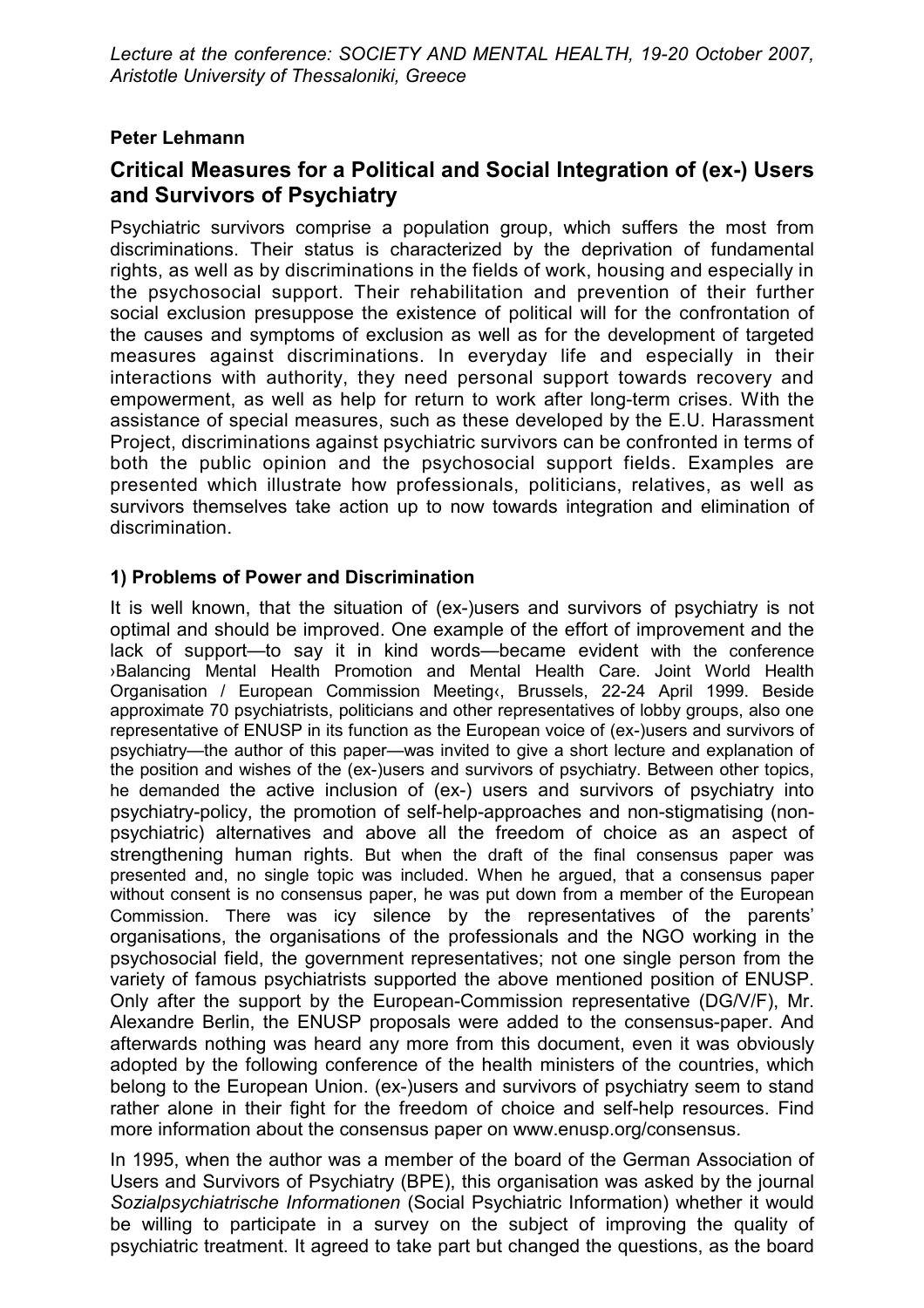## **Peter Lehmann**

# Critical Measures for a Political and Social Integration of (ex-) Users and Survivors of Psychiatry

Psychiatric survivors comprise a population group, which suffers the most from discriminations. Their status is characterized by the deprivation of fundamental rights, as well as by discriminations in the fields of work, housing and especially in the psychosocial support. Their rehabilitation and prevention of their further social exclusion presuppose the existence of political will for the confrontation of the causes and symptoms of exclusion as well as for the development of targeted measures against discriminations. In everyday life and especially in their interactions with authority, they need personal support towards recovery and empowerment, as well as help for return to work after long-term crises. With the assistance of special measures, such as these developed by the E.U. Harassment Project, discriminations against psychiatric survivors can be confronted in terms of both the public opinion and the psychosocial support fields. Examples are presented which illustrate how professionals, politicians, relatives, as well as survivors themselves take action up to now towards integration and elimination of discrimination.

## 1) Problems of Power and Discrimination

It is well known, that the situation of (ex-)users and survivors of psychiatry is not optimal and should be improved. One example of the effort of improvement and the lack of support—to say it in kind words—became evident with the conference >Balancing Mental Health Promotion and Mental Health Care. Joint World Health Organisation / European Commission Meeting &, Brussels, 22-24 April 1999. Beside approximate 70 psychiatrists, politicians and other representatives of lobby groups, also one representative of ENUSP in its function as the European voice of (ex-)users and survivors of psychiatry—the author of this paper—was invited to give a short lecture and explanation of the position and wishes of the (ex-)users and survivors of psychiatry. Between other topics, he demanded the active inclusion of (ex-) users and survivors of psychiatry into psychiatry-policy, the promotion of self-help-approaches and non-stigmatising (nonpsychiatric) alternatives and above all the freedom of choice as an aspect of strengthening human rights. But when the draft of the final consensus paper was presented and, no single topic was included. When he argued, that a consensus paper without consent is no consensus paper, he was put down from a member of the European Commission. There was icy silence by the representatives of the parents' organisations, the organisations of the professionals and the NGO working in the psychosocial field, the government representatives; not one single person from the variety of famous psychiatrists supported the above mentioned position of ENUSP. Only after the support by the European-Commission representative (DG/V/F), Mr. Alexandre Berlin, the ENUSP proposals were added to the consensus-paper. And afterwards nothing was heard any more from this document, even it was obviously adopted by the following conference of the health ministers of the countries, which belong to the European Union. (ex-)users and survivors of psychiatry seem to stand rather alone in their fight for the freedom of choice and self-help resources. Find more information about the consensus paper on www.enusp.org/consensus.

In 1995, when the author was a member of the board of the German Association of Users and Survivors of Psychiatry (BPE), this organisation was asked by the journal Sozialpsychiatrische Informationen (Social Psychiatric Information) whether it would be willing to participate in a survey on the subject of improving the quality of psychiatric treatment. It agreed to take part but changed the questions, as the board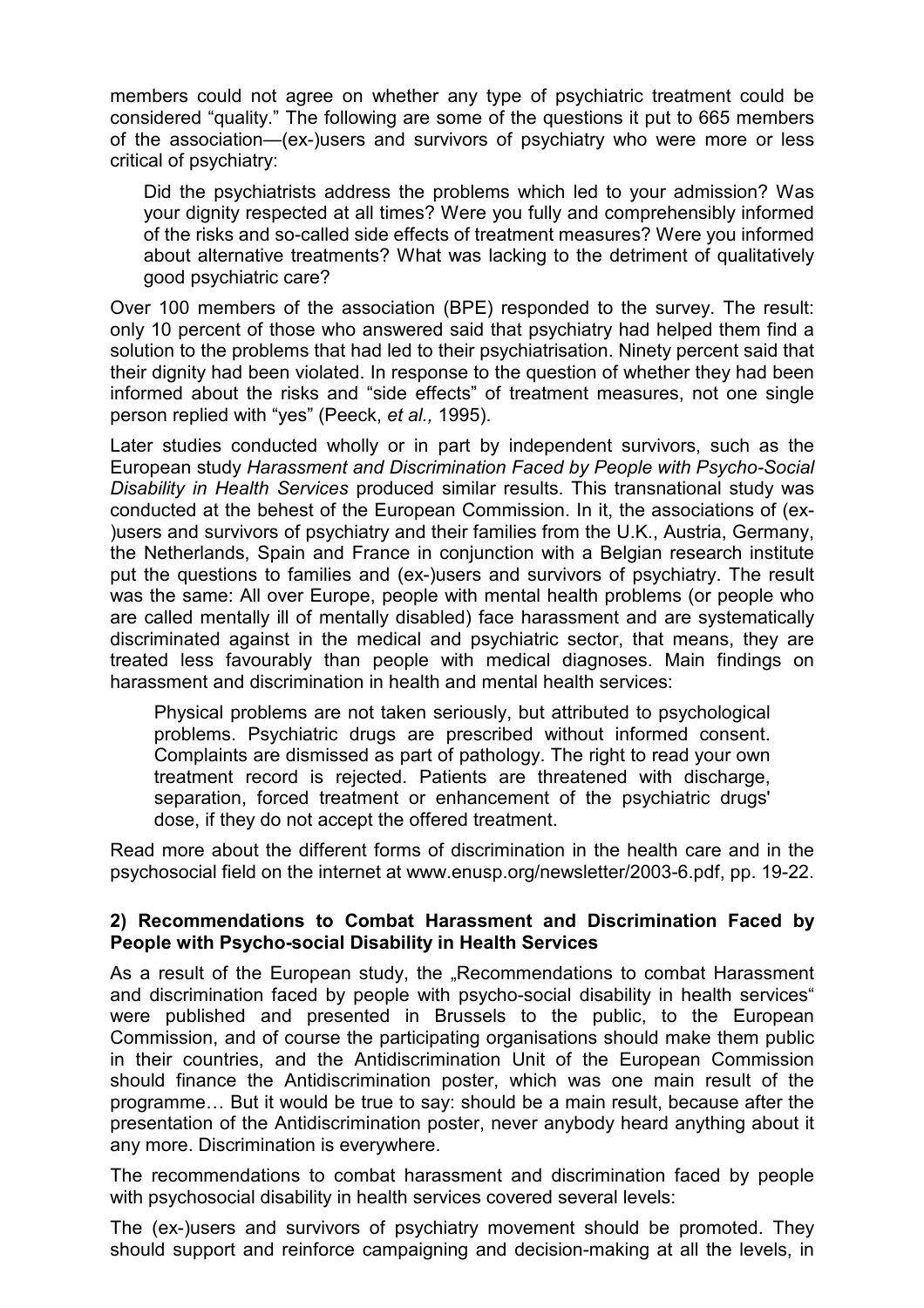members could not agree on whether any type of psychiatric treatment could be considered "quality." The following are some of the questions it put to 665 members of the association—(ex-)users and survivors of psychiatry who were more or less critical of psychiatry:

Did the psychiatrists address the problems which led to your admission? Was vour dignity respected at all times? Were you fully and comprehensibly informed of the risks and so-called side effects of treatment measures? Were you informed about alternative treatments? What was lacking to the detriment of qualitatively good psychiatric care?

Over 100 members of the association (BPE) responded to the survey. The result: only 10 percent of those who answered said that psychiatry had helped them find a solution to the problems that had led to their psychiatrisation. Ninety percent said that their dignity had been violated. In response to the question of whether they had been informed about the risks and "side effects" of treatment measures, not one single person replied with "yes" (Peeck, et al., 1995).

Later studies conducted wholly or in part by independent survivors, such as the European study Harassment and Discrimination Faced by People with Psycho-Social Disability in Health Services produced similar results. This transnational study was conducted at the behest of the European Commission. In it, the associations of (ex-)users and survivors of psychiatry and their families from the U.K., Austria, Germany, the Netherlands. Spain and France in conjunction with a Belgian research institute put the questions to families and (ex-)users and survivors of psychiatry. The result was the same: All over Europe, people with mental health problems (or people who are called mentally ill of mentally disabled) face harassment and are systematically discriminated against in the medical and psychiatric sector, that means, they are treated less favourably than people with medical diagnoses. Main findings on harassment and discrimination in health and mental health services:

Physical problems are not taken seriously, but attributed to psychological problems. Psychiatric drugs are prescribed without informed consent. Complaints are dismissed as part of pathology. The right to read your own treatment record is rejected. Patients are threatened with discharge. separation, forced treatment or enhancement of the psychiatric drugs' dose, if they do not accept the offered treatment.

Read more about the different forms of discrimination in the health care and in the psychosocial field on the internet at www.enusp.org/newsletter/2003-6.pdf, pp. 19-22.

### 2) Recommendations to Combat Harassment and Discrimination Faced by People with Psycho-social Disability in Health Services

As a result of the European study, the "Recommendations to combat Harassment and discrimination faced by people with psycho-social disability in health services" were published and presented in Brussels to the public, to the European Commission, and of course the participating organisations should make them public in their countries, and the Antidiscrimination Unit of the European Commission should finance the Antidiscrimination poster, which was one main result of the programme... But it would be true to say: should be a main result, because after the presentation of the Antidiscrimination poster, never anybody heard anything about it any more. Discrimination is everywhere.

The recommendations to combat harassment and discrimination faced by people with psychosocial disability in health services covered several levels:

The (ex-)users and survivors of psychiatry movement should be promoted. They should support and reinforce campaigning and decision-making at all the levels, in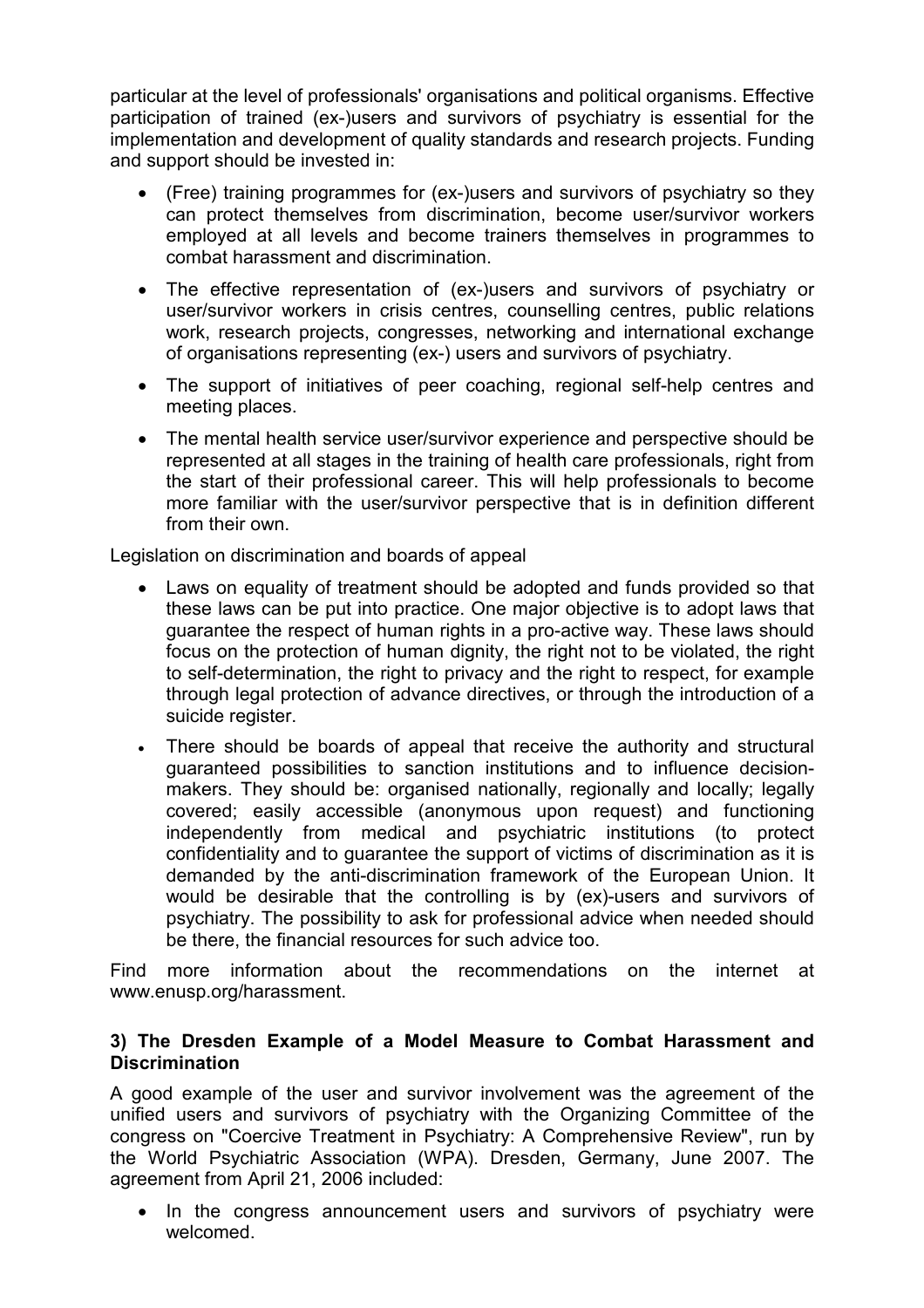particular at the level of professionals' organisations and political organisms. Effective participation of trained (ex-)users and survivors of psychiatry is essential for the implementation and development of quality standards and research projects. Funding and support should be invested in:

- (Free) training programmes for (ex-)users and survivors of psychiatry so they can protect themselves from discrimination, become user/survivor workers employed at all levels and become trainers themselves in programmes to combat harassment and discrimination.
- The effective representation of (ex-)users and survivors of psychiatry or user/survivor workers in crisis centres, counselling centres, public relations work, research projects, congresses, networking and international exchange of organisations representing (ex-) users and survivors of psychiatry.
- The support of initiatives of peer coaching, regional self-help centres and meeting places.
- The mental health service user/survivor experience and perspective should be represented at all stages in the training of health care professionals, right from the start of their professional career. This will help professionals to become more familiar with the user/survivor perspective that is in definition different from their own

Legislation on discrimination and boards of appeal

- Laws on equality of treatment should be adopted and funds provided so that these laws can be put into practice. One major objective is to adopt laws that guarantee the respect of human rights in a pro-active way. These laws should focus on the protection of human dignity, the right not to be violated, the right to self-determination, the right to privacy and the right to respect, for example through legal protection of advance directives, or through the introduction of a suicide register.
- There should be boards of appeal that receive the authority and structural  $\bullet$ guaranteed possibilities to sanction institutions and to influence decisionmakers. They should be: organised nationally, regionally and locally; legally covered; easily accessible (anonymous upon request) and functioning independently from medical and psychiatric institutions (to protect confidentiality and to guarantee the support of victims of discrimination as it is demanded by the anti-discrimination framework of the European Union. It would be desirable that the controlling is by (ex)-users and survivors of psychiatry. The possibility to ask for professional advice when needed should be there, the financial resources for such advice too.

Find more information about the recommendations on the internet at www.enusp.org/harassment.

#### 3) The Dresden Example of a Model Measure to Combat Harassment and **Discrimination**

A good example of the user and survivor involvement was the agreement of the unified users and survivors of psychiatry with the Organizing Committee of the congress on "Coercive Treatment in Psychiatry: A Comprehensive Review", run by the World Psychiatric Association (WPA). Dresden, Germany, June 2007. The agreement from April 21, 2006 included:

In the congress announcement users and survivors of psychiatry were  $\bullet$ welcomed.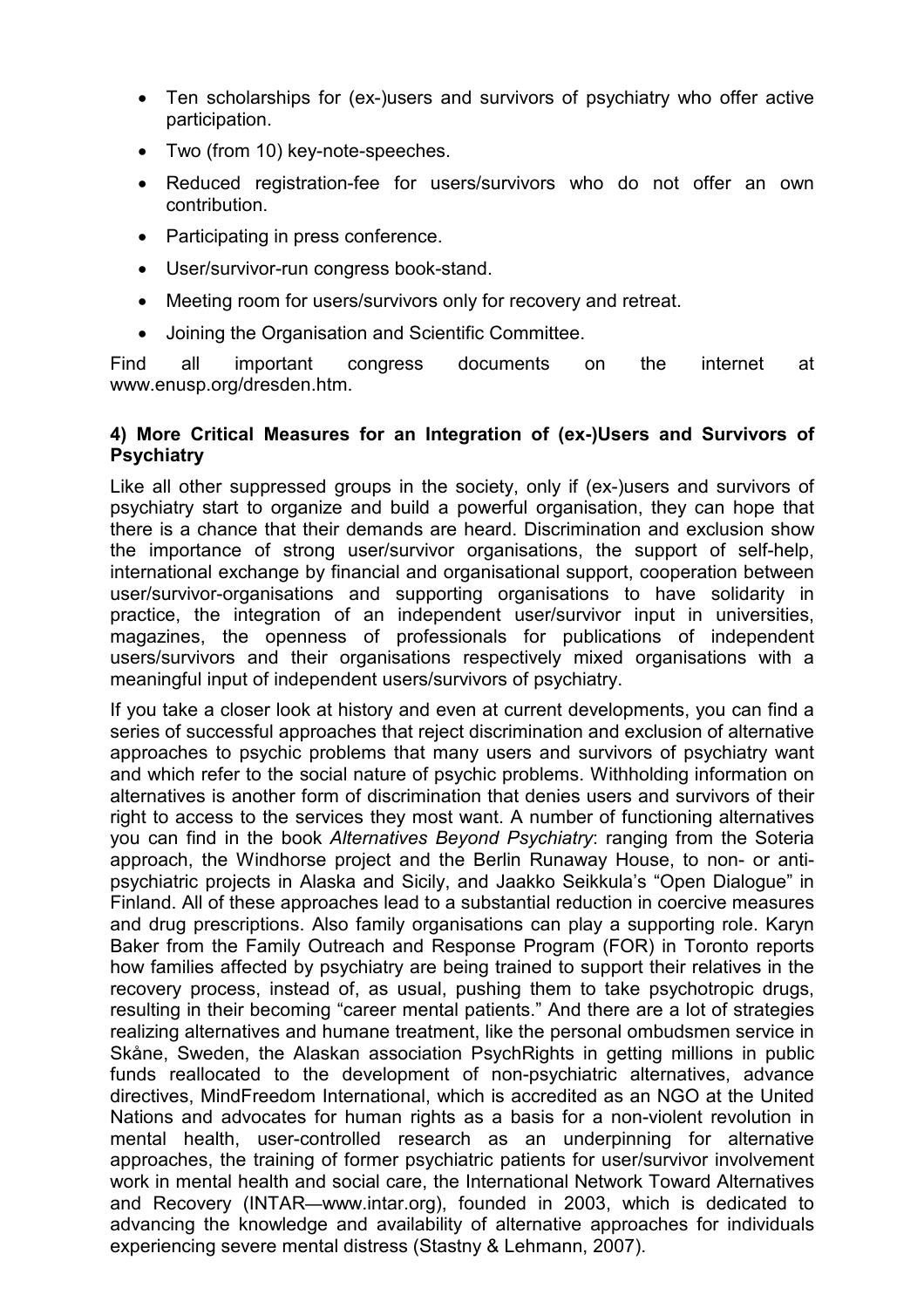- Ten scholarships for (ex-)users and survivors of psychiatry who offer active participation.
- Two (from 10) key-note-speeches.
- $\bullet$ Reduced registration-fee for users/survivors who do not offer an own contribution.
- Participating in press conference.
- User/survivor-run congress book-stand.
- Meeting room for users/survivors only for recovery and retreat.
- $\bullet$ Joining the Organisation and Scientific Committee.

Find all important congress documents on the internet at www.enusp.org/dresden.htm.

### 4) More Critical Measures for an Integration of (ex-)Users and Survivors of **Psychiatry**

Like all other suppressed groups in the society, only if (ex-)users and survivors of psychiatry start to organize and build a powerful organisation, they can hope that there is a chance that their demands are heard. Discrimination and exclusion show the importance of strong user/survivor organisations, the support of self-help, international exchange by financial and organisational support, cooperation between user/survivor-organisations and supporting organisations to have solidarity in practice, the integration of an independent user/survivor input in universities, magazines, the openness of professionals for publications of independent users/survivors and their organisations respectively mixed organisations with a meaningful input of independent users/survivors of psychiatry.

If you take a closer look at history and even at current developments, you can find a series of successful approaches that reject discrimination and exclusion of alternative approaches to psychic problems that many users and survivors of psychiatry want and which refer to the social nature of psychic problems. Withholding information on alternatives is another form of discrimination that denies users and survivors of their right to access to the services they most want. A number of functioning alternatives you can find in the book Alternatives Beyond Psychiatry: ranging from the Soteria approach, the Windhorse project and the Berlin Runaway House, to non- or antipsychiatric projects in Alaska and Sicily, and Jaakko Seikkula's "Open Dialogue" in Finland. All of these approaches lead to a substantial reduction in coercive measures and drug prescriptions. Also family organisations can play a supporting role. Karyn Baker from the Family Outreach and Response Program (FOR) in Toronto reports how families affected by psychiatry are being trained to support their relatives in the recovery process, instead of, as usual, pushing them to take psychotropic drugs, resulting in their becoming "career mental patients." And there are a lot of strategies realizing alternatives and humane treatment, like the personal ombudsmen service in Skåne, Sweden, the Alaskan association Psych Rights in getting millions in public funds reallocated to the development of non-psychiatric alternatives, advance directives, MindFreedom International, which is accredited as an NGO at the United Nations and advocates for human rights as a basis for a non-violent revolution in mental health, user-controlled research as an underpinning for alternative approaches, the training of former psychiatric patients for user/survivor involvement work in mental health and social care, the International Network Toward Alternatives and Recovery (INTAR—www.intar.org), founded in 2003, which is dedicated to advancing the knowledge and availability of alternative approaches for individuals experiencing severe mental distress (Stastny & Lehmann, 2007).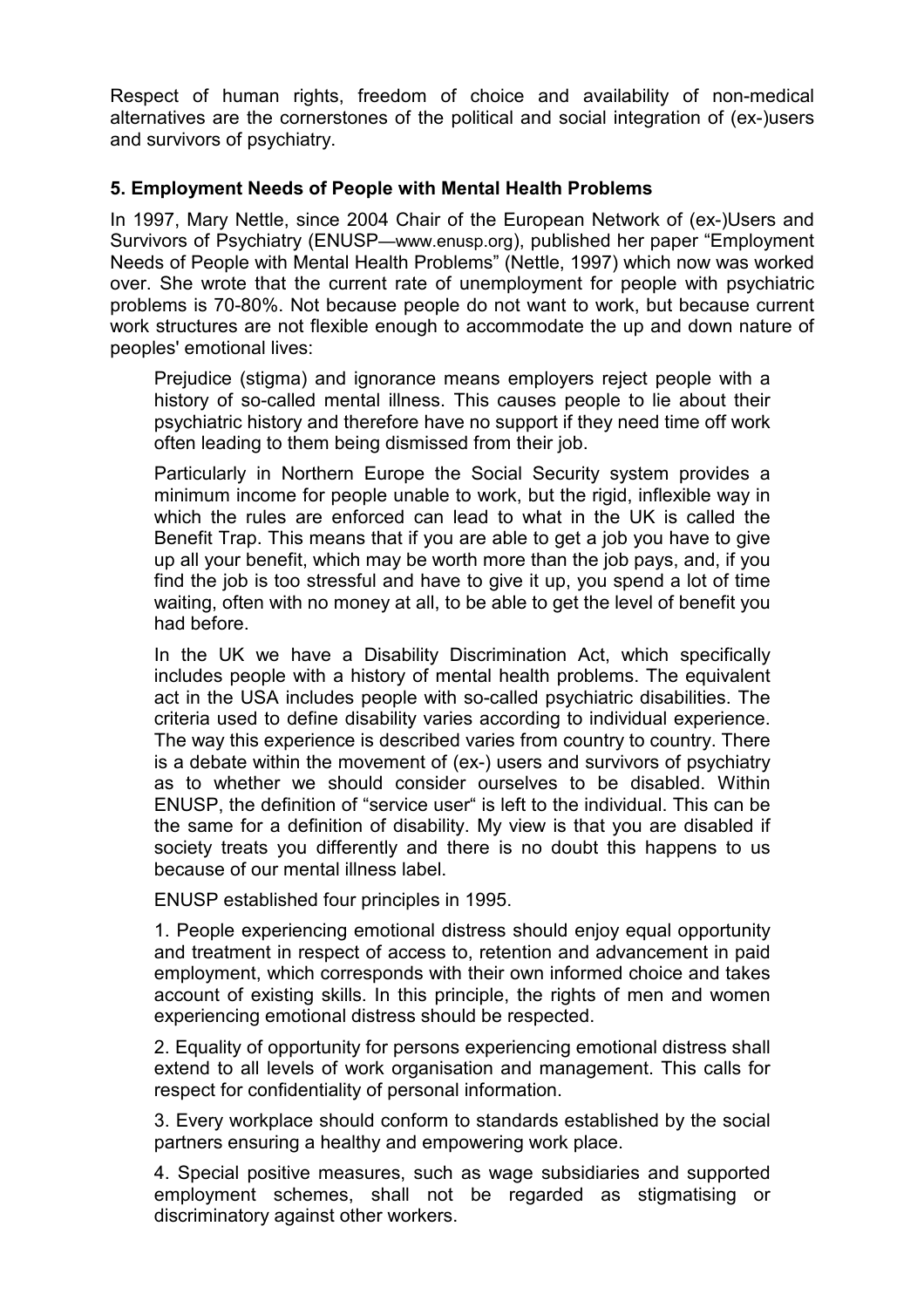Respect of human rights, freedom of choice and availability of non-medical alternatives are the cornerstones of the political and social integration of (ex-)users and survivors of psychiatry.

## 5. Employment Needs of People with Mental Health Problems

In 1997, Mary Nettle, since 2004 Chair of the European Network of (ex-)Users and Survivors of Psychiatry (ENUSP—www.enusp.org), published her paper "Employment" Needs of People with Mental Health Problems" (Nettle, 1997) which now was worked over. She wrote that the current rate of unemployment for people with psychiatric problems is 70-80%. Not because people do not want to work, but because current work structures are not flexible enough to accommodate the up and down nature of peoples' emotional lives:

Prejudice (stigma) and ignorance means employers reject people with a history of so-called mental illness. This causes people to lie about their psychiatric history and therefore have no support if they need time off work often leading to them being dismissed from their job.

Particularly in Northern Europe the Social Security system provides a minimum income for people unable to work, but the rigid, inflexible way in which the rules are enforced can lead to what in the UK is called the Benefit Trap. This means that if you are able to get a job you have to give up all your benefit, which may be worth more than the job pays, and, if you find the job is too stressful and have to give it up, you spend a lot of time waiting, often with no money at all, to be able to get the level of benefit you had before

In the UK we have a Disability Discrimination Act, which specifically includes people with a history of mental health problems. The equivalent act in the USA includes people with so-called psychiatric disabilities. The criteria used to define disability varies according to individual experience. The way this experience is described varies from country to country. There is a debate within the movement of (ex-) users and survivors of psychiatry as to whether we should consider ourselves to be disabled. Within ENUSP, the definition of "service user" is left to the individual. This can be the same for a definition of disability. My view is that you are disabled if society treats you differently and there is no doubt this happens to us because of our mental illness label.

ENUSP established four principles in 1995.

1. People experiencing emotional distress should enjoy equal opportunity and treatment in respect of access to, retention and advancement in paid employment, which corresponds with their own informed choice and takes account of existing skills. In this principle, the rights of men and women experiencing emotional distress should be respected.

2. Equality of opportunity for persons experiencing emotional distress shall extend to all levels of work organisation and management. This calls for respect for confidentiality of personal information.

3. Every workplace should conform to standards established by the social partners ensuring a healthy and empowering work place.

4. Special positive measures, such as wage subsidiaries and supported employment schemes, shall not be regarded as stigmatising or discriminatory against other workers.